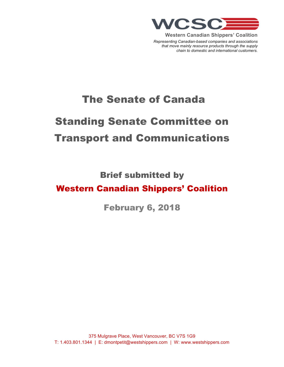

**Western Canadian Shippers' Coalition** *Representing Canadian-based companies and associations that move mainly resource products through the supply chain to domestic and international customers.*

## The Senate of Canada

# Standing Senate Committee on Transport and Communications

Brief submitted by

### Western Canadian Shippers' Coalition

February 6, 2018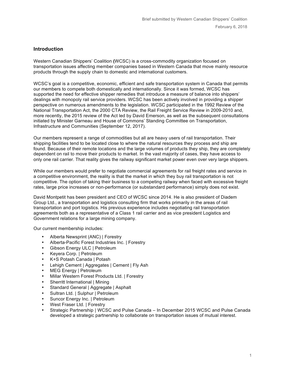#### **Introduction**

Western Canadian Shippers' Coalition **(**WCSC) is a cross-commodity organization focused on transportation issues affecting member companies based in Western Canada that move mainly resource products through the supply chain to domestic and international customers.

WCSC's goal is a competitive, economic, efficient and safe transportation system in Canada that permits our members to compete both domestically and internationally. Since it was formed, WCSC has supported the need for effective shipper remedies that introduce a measure of balance into shippers' dealings with monopoly rail service providers. WCSC has been actively involved in providing a shipper perspective on numerous amendments to the legislation. WCSC participated in the 1992 Review of the National Transportation Act, the 2000 CTA Review, the Rail Freight Service Review in 2009-2010 and, more recently, the 2015 review of the Act led by David Emerson, as well as the subsequent consultations initiated by Minister Garneau and House of Commons' Standing Committee on Transportation, Infrastructure and Communities (September 12, 2017).

Our members represent a range of commodities but all are heavy users of rail transportation. Their shipping facilities tend to be located close to where the natural resources they process and ship are found. Because of their remote locations and the large volumes of products they ship, they are completely dependent on rail to move their products to market. In the vast majority of cases, they have access to only one rail carrier. That reality gives the railway significant market power even over very large shippers.

While our members would prefer to negotiate commercial agreements for rail freight rates and service in a competitive environment, the reality is that the market in which they buy rail transportation is not competitive. The option of taking their business to a competing railway when faced with excessive freight rates, large price increases or non-performance (or substandard performance) simply does not exist.

David Montpetit has been president and CEO of WCSC since 2014. He is also president of Diadem Group Ltd., a transportation and logistics consulting firm that works primarily in the areas of rail transportation and port logistics. His previous experience includes negotiating rail transportation agreements both as a representative of a Class 1 rail carrier and as vice president Logistics and Government relations for a large mining company.

Our current membership includes:

- Alberta Newsprint (ANC) | Forestry
- Alberta-Pacific Forest Industries Inc. | Forestry<br>• Gibson Energy ULC | Petroleum
- Gibson Energy ULC | Petroleum
- Keyera Corp. | Petroleum
- K+S Potash Canada | Potash
- Lehigh Cement | Aggregates | Cement | Fly Ash
- MEG Energy | Petroleum
- Millar Western Forest Products Ltd. | Forestry
- Sherritt International | Mining
- Standard General | Aggregate | Asphalt
- Sultran Ltd. | Sulphur | Petroleum
- Suncor Energy Inc. | Petroleum
- West Fraser Ltd. | Forestry
- Strategic Partnership | WCSC and Pulse Canada In December 2015 WCSC and Pulse Canada developed a strategic partnership to collaborate on transportation issues of mutual interest.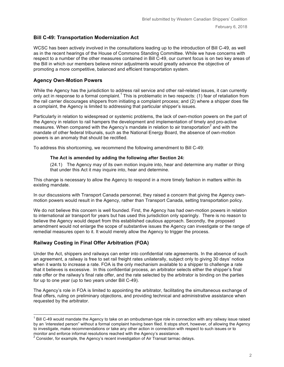#### **Bill C-49: Transportation Modernization Act**

WCSC has been actively involved in the consultations leading up to the introduction of Bill C-49, as well as in the recent hearings of the House of Commons Standing Committee. While we have concerns with respect to a number of the other measures contained in Bill C-49, our current focus is on two key areas of the Bill in which our members believe minor adjustments would greatly advance the objective of promoting a more competitive, balanced and efficient transportation system.

#### **Agency Own-Motion Powers**

While the Agency has the jurisdiction to address rail service and other rail-related issues, it can currently only act in response to a formal complaint.<sup>1</sup> This is problematic in two respects: (1) fear of retaliation from the rail carrier discourages shippers from initiating a complaint process; and (2) where a shipper does file a complaint, the Agency is limited to addressing that particular shipper's issues.

Particularly in relation to widespread or systemic problems, the lack of own-motion powers on the part of the Agency in relation to rail hampers the development and implementation of timely and pro-active measures. When compared with the Agency's mandate in relation to air transportation<sup>2</sup> and with the mandate of other federal tribunals, such as the National Energy Board, the absence of own-motion powers is an anomaly that should be rectified.

To address this shortcoming, we recommend the following amendment to Bill C-49:

#### **The Act is amended by adding the following after Section 24:**

(24.1) The Agency may of its own motion inquire into, hear and determine any matter or thing that under this Act it may inquire into, hear and determine.

This change is necessary to allow the Agency to respond in a more timely fashion in matters within its existing mandate.

In our discussions with Transport Canada personnel, they raised a concern that giving the Agency ownmotion powers would result in the Agency, rather than Transport Canada, setting transportation policy.

We do not believe this concern is well founded. First, the Agency has had own-motion powers in relation to international air transport for years but has used this jurisdiction only sparingly. There is no reason to believe the Agency would depart from this established cautious approach. Secondly, the proposed amendment would not enlarge the scope of substantive issues the Agency can investigate or the range of remedial measures open to it. It would merely allow the Agency to trigger the process.

#### **Railway Costing in Final Offer Arbitration (FOA)**

Under the Act, shippers and railways can enter into confidential rate agreements. In the absence of such an agreement, a railway is free to set rail freight rates unilaterally, subject only to giving 30 days' notice when it wants to increase a rate. FOA is the only mechanism available to a shipper to challenge a rate that it believes is excessive. In this confidential process, an arbitrator selects either the shipper's final rate offer or the railway's final rate offer, and the rate selected by the arbitrator is binding on the parties for up to one year (up to two years under Bill C-49).

The Agency's role in FOA is limited to appointing the arbitrator, facilitating the simultaneous exchange of final offers, ruling on preliminary objections, and providing technical and administrative assistance when requested by the arbitrator.

 $1$  Bill C-49 would mandate the Agency to take on an ombudsman-type role in connection with any railway issue raised by an 'interested person" without a formal complaint having been filed. It stops short, however, of allowing the Agency to investigate, make recommendations or take any other action in connection with respect to such issues or to monitor and enforce informal resolutions reached with the Agency's assistance.

 $2$  Consider, for example, the Agency's recent investigation of Air Transat tarmac delays.